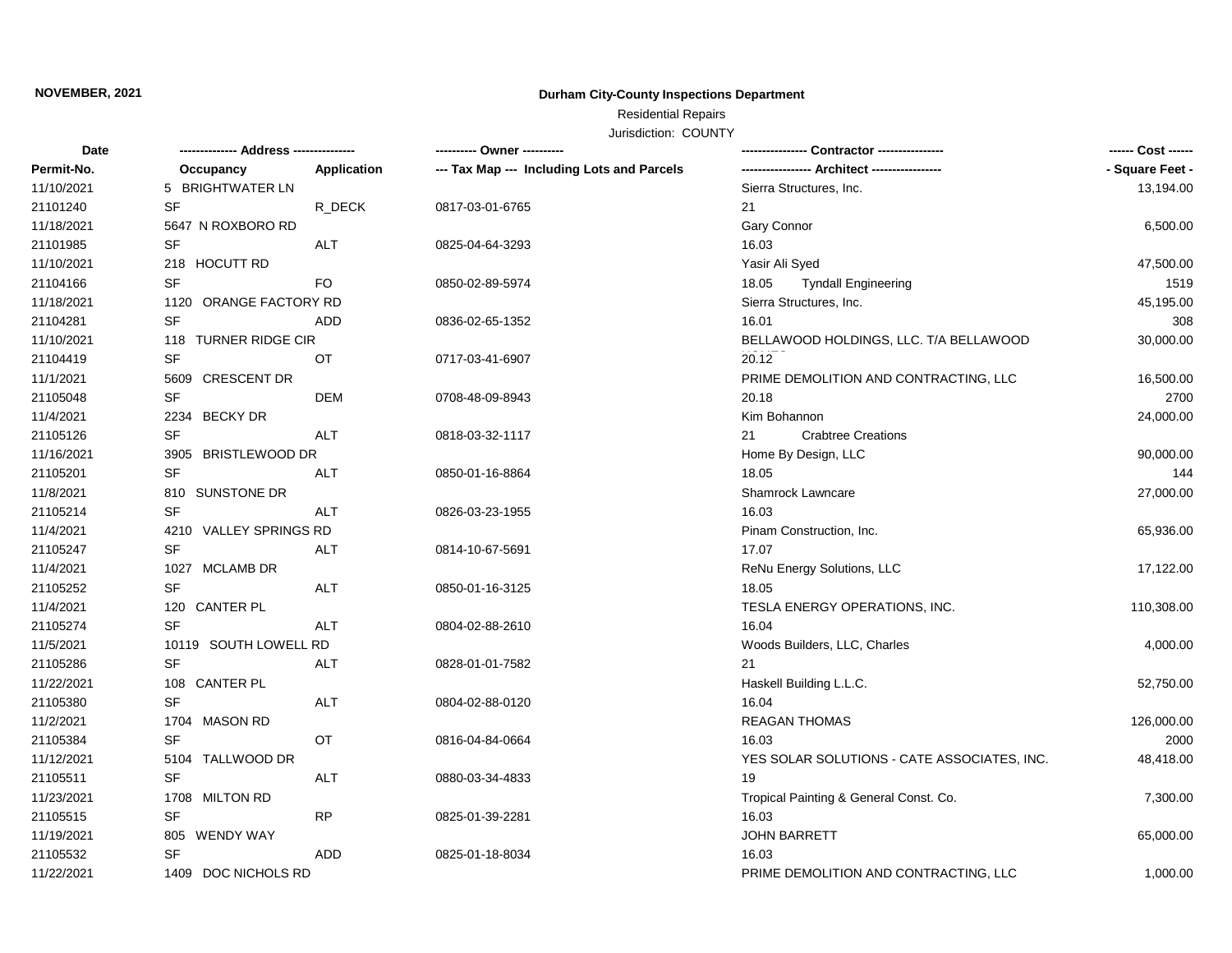### **NOVEMBER, 2021**

## **Durham City-County Inspections Department**

# Residential Repairs

Jurisdiction: COUNTY

| --- Tax Map --- Including Lots and Parcels<br>---------------- Architect ----------------<br>- Square Feet -<br>Permit-No.<br>Occupancy<br>Application<br>5 BRIGHTWATER LN<br>11/10/2021<br>Sierra Structures, Inc.<br>13,194.00<br>21101240<br>SF<br>R_DECK<br>0817-03-01-6765<br>21<br>11/18/2021<br>5647 N ROXBORO RD<br>Gary Connor<br>6,500.00<br>21101985<br>SF<br><b>ALT</b><br>0825-04-64-3293<br>16.03<br>11/10/2021<br>218 HOCUTT RD<br>Yasir Ali Syed<br>47,500.00<br>SF<br>21104166<br>FO.<br>0850-02-89-5974<br>18.05<br><b>Tyndall Engineering</b><br>1519<br>11/18/2021<br>1120 ORANGE FACTORY RD<br>Sierra Structures, Inc.<br>45,195.00<br>SF<br>21104281<br><b>ADD</b><br>16.01<br>308<br>0836-02-65-1352<br>11/10/2021<br>30,000.00<br>118 TURNER RIDGE CIR<br>BELLAWOOD HOLDINGS, LLC. T/A BELLAWOOD<br>SF<br>20.12<br>21104419<br><b>OT</b><br>0717-03-41-6907<br>11/1/2021<br>5609 CRESCENT DR<br>PRIME DEMOLITION AND CONTRACTING, LLC<br>16,500.00<br>SF<br>21105048<br><b>DEM</b><br>20.18<br>2700<br>0708-48-09-8943<br>11/4/2021<br>2234 BECKY DR<br>Kim Bohannon<br>24,000.00<br><b>SF</b><br>21105126<br><b>ALT</b><br><b>Crabtree Creations</b><br>0818-03-32-1117<br>21<br>11/16/2021<br>3905 BRISTLEWOOD DR<br>90,000.00<br>Home By Design, LLC<br>21105201<br>SF<br>18.05<br>ALT<br>0850-01-16-8864<br>144<br>11/8/2021<br>810 SUNSTONE DR<br>Shamrock Lawncare<br>27,000.00<br>21105214<br><b>SF</b><br><b>ALT</b><br>16.03<br>0826-03-23-1955<br>11/4/2021<br>4210 VALLEY SPRINGS RD<br>Pinam Construction, Inc.<br>65,936.00<br>21105247<br><b>SF</b><br><b>ALT</b><br>0814-10-67-5691<br>17.07<br>11/4/2021<br>1027 MCLAMB DR<br>ReNu Energy Solutions, LLC<br>17,122.00<br>SF<br>21105252<br><b>ALT</b><br>0850-01-16-3125<br>18.05<br>11/4/2021<br>120 CANTER PL<br>TESLA ENERGY OPERATIONS, INC.<br>110,308.00<br><b>SF</b><br><b>ALT</b><br>21105274<br>16.04<br>0804-02-88-2610<br>11/5/2021<br>10119 SOUTH LOWELL RD<br>Woods Builders, LLC, Charles<br>4,000.00 | Date     |  |
|-------------------------------------------------------------------------------------------------------------------------------------------------------------------------------------------------------------------------------------------------------------------------------------------------------------------------------------------------------------------------------------------------------------------------------------------------------------------------------------------------------------------------------------------------------------------------------------------------------------------------------------------------------------------------------------------------------------------------------------------------------------------------------------------------------------------------------------------------------------------------------------------------------------------------------------------------------------------------------------------------------------------------------------------------------------------------------------------------------------------------------------------------------------------------------------------------------------------------------------------------------------------------------------------------------------------------------------------------------------------------------------------------------------------------------------------------------------------------------------------------------------------------------------------------------------------------------------------------------------------------------------------------------------------------------------------------------------------------------------------------------------------------------------------------------------------------------------------------------------------------------------------------------------------------------------------------------------------------------------------------------------|----------|--|
|                                                                                                                                                                                                                                                                                                                                                                                                                                                                                                                                                                                                                                                                                                                                                                                                                                                                                                                                                                                                                                                                                                                                                                                                                                                                                                                                                                                                                                                                                                                                                                                                                                                                                                                                                                                                                                                                                                                                                                                                             |          |  |
|                                                                                                                                                                                                                                                                                                                                                                                                                                                                                                                                                                                                                                                                                                                                                                                                                                                                                                                                                                                                                                                                                                                                                                                                                                                                                                                                                                                                                                                                                                                                                                                                                                                                                                                                                                                                                                                                                                                                                                                                             |          |  |
|                                                                                                                                                                                                                                                                                                                                                                                                                                                                                                                                                                                                                                                                                                                                                                                                                                                                                                                                                                                                                                                                                                                                                                                                                                                                                                                                                                                                                                                                                                                                                                                                                                                                                                                                                                                                                                                                                                                                                                                                             |          |  |
|                                                                                                                                                                                                                                                                                                                                                                                                                                                                                                                                                                                                                                                                                                                                                                                                                                                                                                                                                                                                                                                                                                                                                                                                                                                                                                                                                                                                                                                                                                                                                                                                                                                                                                                                                                                                                                                                                                                                                                                                             |          |  |
|                                                                                                                                                                                                                                                                                                                                                                                                                                                                                                                                                                                                                                                                                                                                                                                                                                                                                                                                                                                                                                                                                                                                                                                                                                                                                                                                                                                                                                                                                                                                                                                                                                                                                                                                                                                                                                                                                                                                                                                                             |          |  |
|                                                                                                                                                                                                                                                                                                                                                                                                                                                                                                                                                                                                                                                                                                                                                                                                                                                                                                                                                                                                                                                                                                                                                                                                                                                                                                                                                                                                                                                                                                                                                                                                                                                                                                                                                                                                                                                                                                                                                                                                             |          |  |
|                                                                                                                                                                                                                                                                                                                                                                                                                                                                                                                                                                                                                                                                                                                                                                                                                                                                                                                                                                                                                                                                                                                                                                                                                                                                                                                                                                                                                                                                                                                                                                                                                                                                                                                                                                                                                                                                                                                                                                                                             |          |  |
|                                                                                                                                                                                                                                                                                                                                                                                                                                                                                                                                                                                                                                                                                                                                                                                                                                                                                                                                                                                                                                                                                                                                                                                                                                                                                                                                                                                                                                                                                                                                                                                                                                                                                                                                                                                                                                                                                                                                                                                                             |          |  |
|                                                                                                                                                                                                                                                                                                                                                                                                                                                                                                                                                                                                                                                                                                                                                                                                                                                                                                                                                                                                                                                                                                                                                                                                                                                                                                                                                                                                                                                                                                                                                                                                                                                                                                                                                                                                                                                                                                                                                                                                             |          |  |
|                                                                                                                                                                                                                                                                                                                                                                                                                                                                                                                                                                                                                                                                                                                                                                                                                                                                                                                                                                                                                                                                                                                                                                                                                                                                                                                                                                                                                                                                                                                                                                                                                                                                                                                                                                                                                                                                                                                                                                                                             |          |  |
|                                                                                                                                                                                                                                                                                                                                                                                                                                                                                                                                                                                                                                                                                                                                                                                                                                                                                                                                                                                                                                                                                                                                                                                                                                                                                                                                                                                                                                                                                                                                                                                                                                                                                                                                                                                                                                                                                                                                                                                                             |          |  |
|                                                                                                                                                                                                                                                                                                                                                                                                                                                                                                                                                                                                                                                                                                                                                                                                                                                                                                                                                                                                                                                                                                                                                                                                                                                                                                                                                                                                                                                                                                                                                                                                                                                                                                                                                                                                                                                                                                                                                                                                             |          |  |
|                                                                                                                                                                                                                                                                                                                                                                                                                                                                                                                                                                                                                                                                                                                                                                                                                                                                                                                                                                                                                                                                                                                                                                                                                                                                                                                                                                                                                                                                                                                                                                                                                                                                                                                                                                                                                                                                                                                                                                                                             |          |  |
|                                                                                                                                                                                                                                                                                                                                                                                                                                                                                                                                                                                                                                                                                                                                                                                                                                                                                                                                                                                                                                                                                                                                                                                                                                                                                                                                                                                                                                                                                                                                                                                                                                                                                                                                                                                                                                                                                                                                                                                                             |          |  |
|                                                                                                                                                                                                                                                                                                                                                                                                                                                                                                                                                                                                                                                                                                                                                                                                                                                                                                                                                                                                                                                                                                                                                                                                                                                                                                                                                                                                                                                                                                                                                                                                                                                                                                                                                                                                                                                                                                                                                                                                             |          |  |
|                                                                                                                                                                                                                                                                                                                                                                                                                                                                                                                                                                                                                                                                                                                                                                                                                                                                                                                                                                                                                                                                                                                                                                                                                                                                                                                                                                                                                                                                                                                                                                                                                                                                                                                                                                                                                                                                                                                                                                                                             |          |  |
|                                                                                                                                                                                                                                                                                                                                                                                                                                                                                                                                                                                                                                                                                                                                                                                                                                                                                                                                                                                                                                                                                                                                                                                                                                                                                                                                                                                                                                                                                                                                                                                                                                                                                                                                                                                                                                                                                                                                                                                                             |          |  |
|                                                                                                                                                                                                                                                                                                                                                                                                                                                                                                                                                                                                                                                                                                                                                                                                                                                                                                                                                                                                                                                                                                                                                                                                                                                                                                                                                                                                                                                                                                                                                                                                                                                                                                                                                                                                                                                                                                                                                                                                             |          |  |
|                                                                                                                                                                                                                                                                                                                                                                                                                                                                                                                                                                                                                                                                                                                                                                                                                                                                                                                                                                                                                                                                                                                                                                                                                                                                                                                                                                                                                                                                                                                                                                                                                                                                                                                                                                                                                                                                                                                                                                                                             |          |  |
|                                                                                                                                                                                                                                                                                                                                                                                                                                                                                                                                                                                                                                                                                                                                                                                                                                                                                                                                                                                                                                                                                                                                                                                                                                                                                                                                                                                                                                                                                                                                                                                                                                                                                                                                                                                                                                                                                                                                                                                                             |          |  |
|                                                                                                                                                                                                                                                                                                                                                                                                                                                                                                                                                                                                                                                                                                                                                                                                                                                                                                                                                                                                                                                                                                                                                                                                                                                                                                                                                                                                                                                                                                                                                                                                                                                                                                                                                                                                                                                                                                                                                                                                             |          |  |
|                                                                                                                                                                                                                                                                                                                                                                                                                                                                                                                                                                                                                                                                                                                                                                                                                                                                                                                                                                                                                                                                                                                                                                                                                                                                                                                                                                                                                                                                                                                                                                                                                                                                                                                                                                                                                                                                                                                                                                                                             |          |  |
|                                                                                                                                                                                                                                                                                                                                                                                                                                                                                                                                                                                                                                                                                                                                                                                                                                                                                                                                                                                                                                                                                                                                                                                                                                                                                                                                                                                                                                                                                                                                                                                                                                                                                                                                                                                                                                                                                                                                                                                                             |          |  |
|                                                                                                                                                                                                                                                                                                                                                                                                                                                                                                                                                                                                                                                                                                                                                                                                                                                                                                                                                                                                                                                                                                                                                                                                                                                                                                                                                                                                                                                                                                                                                                                                                                                                                                                                                                                                                                                                                                                                                                                                             |          |  |
|                                                                                                                                                                                                                                                                                                                                                                                                                                                                                                                                                                                                                                                                                                                                                                                                                                                                                                                                                                                                                                                                                                                                                                                                                                                                                                                                                                                                                                                                                                                                                                                                                                                                                                                                                                                                                                                                                                                                                                                                             |          |  |
|                                                                                                                                                                                                                                                                                                                                                                                                                                                                                                                                                                                                                                                                                                                                                                                                                                                                                                                                                                                                                                                                                                                                                                                                                                                                                                                                                                                                                                                                                                                                                                                                                                                                                                                                                                                                                                                                                                                                                                                                             |          |  |
| SF<br><b>ALT</b><br>21<br>0828-01-01-7582                                                                                                                                                                                                                                                                                                                                                                                                                                                                                                                                                                                                                                                                                                                                                                                                                                                                                                                                                                                                                                                                                                                                                                                                                                                                                                                                                                                                                                                                                                                                                                                                                                                                                                                                                                                                                                                                                                                                                                   | 21105286 |  |
| 11/22/2021<br>108 CANTER PL<br>Haskell Building L.L.C.<br>52,750.00                                                                                                                                                                                                                                                                                                                                                                                                                                                                                                                                                                                                                                                                                                                                                                                                                                                                                                                                                                                                                                                                                                                                                                                                                                                                                                                                                                                                                                                                                                                                                                                                                                                                                                                                                                                                                                                                                                                                         |          |  |
| <b>SF</b><br>21105380<br><b>ALT</b><br>16.04<br>0804-02-88-0120                                                                                                                                                                                                                                                                                                                                                                                                                                                                                                                                                                                                                                                                                                                                                                                                                                                                                                                                                                                                                                                                                                                                                                                                                                                                                                                                                                                                                                                                                                                                                                                                                                                                                                                                                                                                                                                                                                                                             |          |  |
| 11/2/2021<br><b>REAGAN THOMAS</b><br>1704 MASON RD<br>126,000.00                                                                                                                                                                                                                                                                                                                                                                                                                                                                                                                                                                                                                                                                                                                                                                                                                                                                                                                                                                                                                                                                                                                                                                                                                                                                                                                                                                                                                                                                                                                                                                                                                                                                                                                                                                                                                                                                                                                                            |          |  |
| 21105384<br><b>SF</b><br>OT<br>16.03<br>2000<br>0816-04-84-0664                                                                                                                                                                                                                                                                                                                                                                                                                                                                                                                                                                                                                                                                                                                                                                                                                                                                                                                                                                                                                                                                                                                                                                                                                                                                                                                                                                                                                                                                                                                                                                                                                                                                                                                                                                                                                                                                                                                                             |          |  |
| 11/12/2021<br>5104 TALLWOOD DR<br>YES SOLAR SOLUTIONS - CATE ASSOCIATES, INC.<br>48,418.00                                                                                                                                                                                                                                                                                                                                                                                                                                                                                                                                                                                                                                                                                                                                                                                                                                                                                                                                                                                                                                                                                                                                                                                                                                                                                                                                                                                                                                                                                                                                                                                                                                                                                                                                                                                                                                                                                                                  |          |  |
| 19<br>21105511<br><b>SF</b><br><b>ALT</b><br>0880-03-34-4833                                                                                                                                                                                                                                                                                                                                                                                                                                                                                                                                                                                                                                                                                                                                                                                                                                                                                                                                                                                                                                                                                                                                                                                                                                                                                                                                                                                                                                                                                                                                                                                                                                                                                                                                                                                                                                                                                                                                                |          |  |
| 11/23/2021<br>1708 MILTON RD<br>Tropical Painting & General Const. Co.<br>7,300.00                                                                                                                                                                                                                                                                                                                                                                                                                                                                                                                                                                                                                                                                                                                                                                                                                                                                                                                                                                                                                                                                                                                                                                                                                                                                                                                                                                                                                                                                                                                                                                                                                                                                                                                                                                                                                                                                                                                          |          |  |
| 21105515<br><b>SF</b><br><b>RP</b><br>0825-01-39-2281<br>16.03                                                                                                                                                                                                                                                                                                                                                                                                                                                                                                                                                                                                                                                                                                                                                                                                                                                                                                                                                                                                                                                                                                                                                                                                                                                                                                                                                                                                                                                                                                                                                                                                                                                                                                                                                                                                                                                                                                                                              |          |  |
| 11/19/2021<br>805 WENDY WAY<br><b>JOHN BARRETT</b><br>65,000.00                                                                                                                                                                                                                                                                                                                                                                                                                                                                                                                                                                                                                                                                                                                                                                                                                                                                                                                                                                                                                                                                                                                                                                                                                                                                                                                                                                                                                                                                                                                                                                                                                                                                                                                                                                                                                                                                                                                                             |          |  |
| 21105532<br><b>SF</b><br>ADD<br>0825-01-18-8034<br>16.03                                                                                                                                                                                                                                                                                                                                                                                                                                                                                                                                                                                                                                                                                                                                                                                                                                                                                                                                                                                                                                                                                                                                                                                                                                                                                                                                                                                                                                                                                                                                                                                                                                                                                                                                                                                                                                                                                                                                                    |          |  |
| 11/22/2021<br>1409 DOC NICHOLS RD<br>PRIME DEMOLITION AND CONTRACTING, LLC<br>1,000.00                                                                                                                                                                                                                                                                                                                                                                                                                                                                                                                                                                                                                                                                                                                                                                                                                                                                                                                                                                                                                                                                                                                                                                                                                                                                                                                                                                                                                                                                                                                                                                                                                                                                                                                                                                                                                                                                                                                      |          |  |